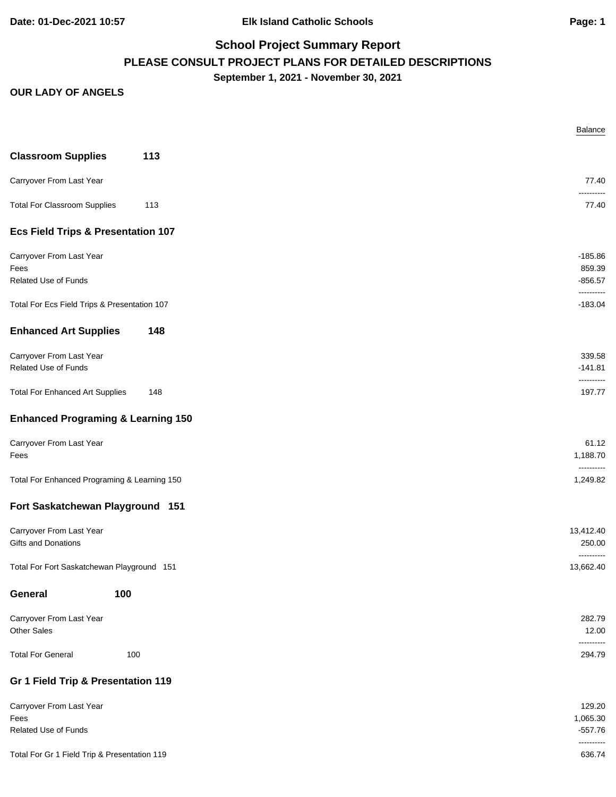**Date: 01-Dec-2021 10:57 Elk Island Catholic Schools Page: 1**

# **School Project Summary Report PLEASE CONSULT PROJECT PLANS FOR DETAILED DESCRIPTIONS September 1, 2021 - November 30, 2021**

|                                                 |     | Balance                           |
|-------------------------------------------------|-----|-----------------------------------|
| <b>Classroom Supplies</b>                       | 113 |                                   |
| Carryover From Last Year                        |     | 77.40                             |
| <b>Total For Classroom Supplies</b>             | 113 | ----------<br>77.40               |
| <b>Ecs Field Trips &amp; Presentation 107</b>   |     |                                   |
| Carryover From Last Year                        |     | $-185.86$                         |
| Fees<br>Related Use of Funds                    |     | 859.39<br>$-856.57$               |
| Total For Ecs Field Trips & Presentation 107    |     | ----------<br>$-183.04$           |
| <b>Enhanced Art Supplies</b>                    | 148 |                                   |
| Carryover From Last Year                        |     | 339.58                            |
| Related Use of Funds                            |     | $-141.81$<br>----------           |
| <b>Total For Enhanced Art Supplies</b>          | 148 | 197.77                            |
| <b>Enhanced Programing &amp; Learning 150</b>   |     |                                   |
| Carryover From Last Year                        |     | 61.12                             |
| Fees                                            |     | 1,188.70<br>----------            |
| Total For Enhanced Programing & Learning 150    |     | 1,249.82                          |
| Fort Saskatchewan Playground 151                |     |                                   |
| Carryover From Last Year<br>Gifts and Donations |     | 13,412.40<br>250.00<br>---------- |
| Total For Fort Saskatchewan Playground 151      |     | 13,662.40                         |
| General<br>100                                  |     |                                   |
| Carryover From Last Year<br>Other Sales         |     | 282.79<br>12.00                   |
| <b>Total For General</b>                        | 100 | ----------<br>294.79              |
| Gr 1 Field Trip & Presentation 119              |     |                                   |
| Carryover From Last Year                        |     | 129.20                            |
| Fees<br>Related Use of Funds                    |     | 1,065.30<br>$-557.76$             |
|                                                 |     | ----------                        |
| Total For Gr 1 Field Trip & Presentation 119    |     | 636.74                            |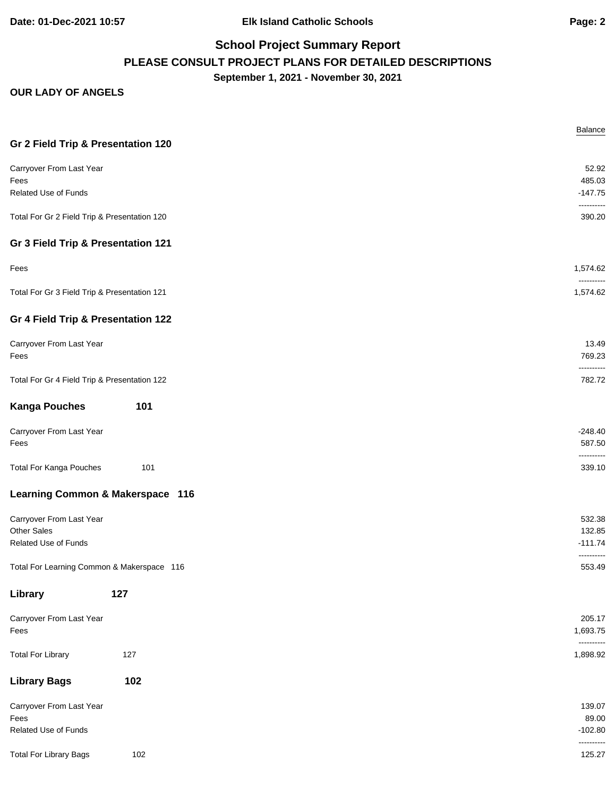**Date: 01-Dec-2021 10:57 Elk Island Catholic Schools Page: 2**

# **School Project Summary Report PLEASE CONSULT PROJECT PLANS FOR DETAILED DESCRIPTIONS September 1, 2021 - November 30, 2021**

|                                              |     | Balance                |
|----------------------------------------------|-----|------------------------|
| Gr 2 Field Trip & Presentation 120           |     |                        |
| Carryover From Last Year                     |     | 52.92                  |
| Fees                                         |     | 485.03                 |
| <b>Related Use of Funds</b>                  |     | $-147.75$              |
| Total For Gr 2 Field Trip & Presentation 120 |     | ----------<br>390.20   |
| Gr 3 Field Trip & Presentation 121           |     |                        |
| Fees                                         |     | 1,574.62               |
| Total For Gr 3 Field Trip & Presentation 121 |     | ----------<br>1,574.62 |
| Gr 4 Field Trip & Presentation 122           |     |                        |
| Carryover From Last Year                     |     | 13.49                  |
| Fees                                         |     | 769.23<br>----------   |
| Total For Gr 4 Field Trip & Presentation 122 |     | 782.72                 |
| <b>Kanga Pouches</b>                         | 101 |                        |
| Carryover From Last Year                     |     | $-248.40$              |
| Fees                                         |     | 587.50                 |
|                                              |     | ----------             |
| <b>Total For Kanga Pouches</b>               | 101 | 339.10                 |
| Learning Common & Makerspace 116             |     |                        |
| Carryover From Last Year                     |     | 532.38                 |
| <b>Other Sales</b>                           |     | 132.85                 |
| Related Use of Funds                         |     | $-111.74$              |
| Total For Learning Common & Makerspace 116   |     | ----------<br>553.49   |
| Library                                      | 127 |                        |
| Carryover From Last Year                     |     | 205.17                 |
| Fees                                         |     | 1,693.75               |
|                                              |     | ----------             |
| <b>Total For Library</b>                     | 127 | 1,898.92               |
| <b>Library Bags</b>                          | 102 |                        |
| Carryover From Last Year                     |     | 139.07                 |
| Fees                                         |     | 89.00                  |
| Related Use of Funds                         |     | $-102.80$              |
| <b>Total For Library Bags</b>                | 102 | ----------<br>125.27   |
|                                              |     |                        |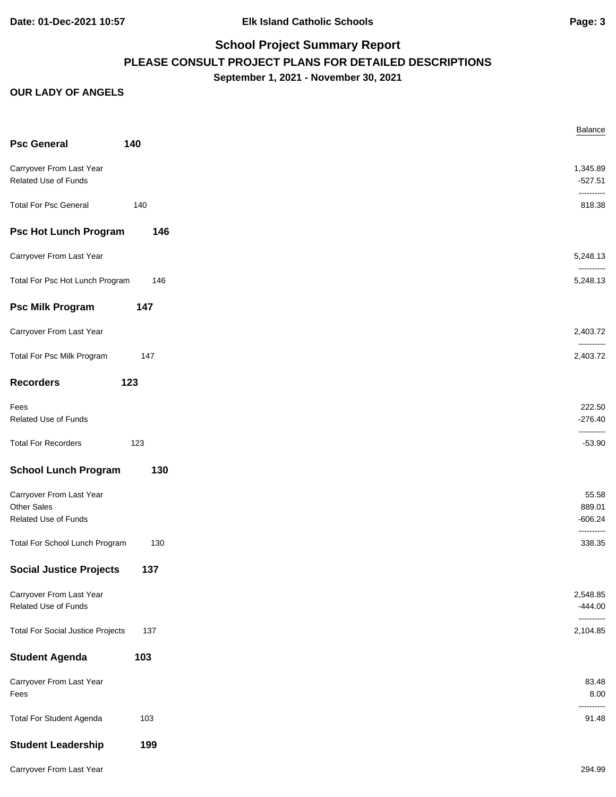**Date: 01-Dec-2021 10:57 Elk Island Catholic Schools Page: 3**

## **School Project Summary Report PLEASE CONSULT PROJECT PLANS FOR DETAILED DESCRIPTIONS September 1, 2021 - November 30, 2021**

|                                                                 |     | Balance                             |
|-----------------------------------------------------------------|-----|-------------------------------------|
| <b>Psc General</b>                                              | 140 |                                     |
| Carryover From Last Year<br>Related Use of Funds                |     | 1,345.89<br>$-527.51$<br>---------- |
| <b>Total For Psc General</b>                                    | 140 | 818.38                              |
| <b>Psc Hot Lunch Program</b>                                    | 146 |                                     |
| Carryover From Last Year                                        |     | 5,248.13<br>----------              |
| Total For Psc Hot Lunch Program                                 | 146 | 5,248.13                            |
| <b>Psc Milk Program</b>                                         | 147 |                                     |
| Carryover From Last Year                                        |     | 2,403.72<br>----------              |
| Total For Psc Milk Program                                      | 147 | 2,403.72                            |
| <b>Recorders</b>                                                | 123 |                                     |
| Fees<br>Related Use of Funds                                    |     | 222.50<br>$-276.40$<br>----------   |
| <b>Total For Recorders</b>                                      | 123 | $-53.90$                            |
| <b>School Lunch Program</b>                                     | 130 |                                     |
| Carryover From Last Year<br>Other Sales<br>Related Use of Funds |     | 55.58<br>889.01<br>$-606.24$        |
| Total For School Lunch Program                                  | 130 | ----------<br>338.35                |
| <b>Social Justice Projects</b>                                  | 137 |                                     |
| Carryover From Last Year<br>Related Use of Funds                |     | 2,548.85<br>$-444.00$<br>---------- |
| <b>Total For Social Justice Projects</b>                        | 137 | 2,104.85                            |
| <b>Student Agenda</b>                                           | 103 |                                     |
| Carryover From Last Year<br>Fees                                |     | 83.48<br>8.00<br>-------            |
| <b>Total For Student Agenda</b>                                 | 103 | 91.48                               |
| <b>Student Leadership</b>                                       | 199 |                                     |